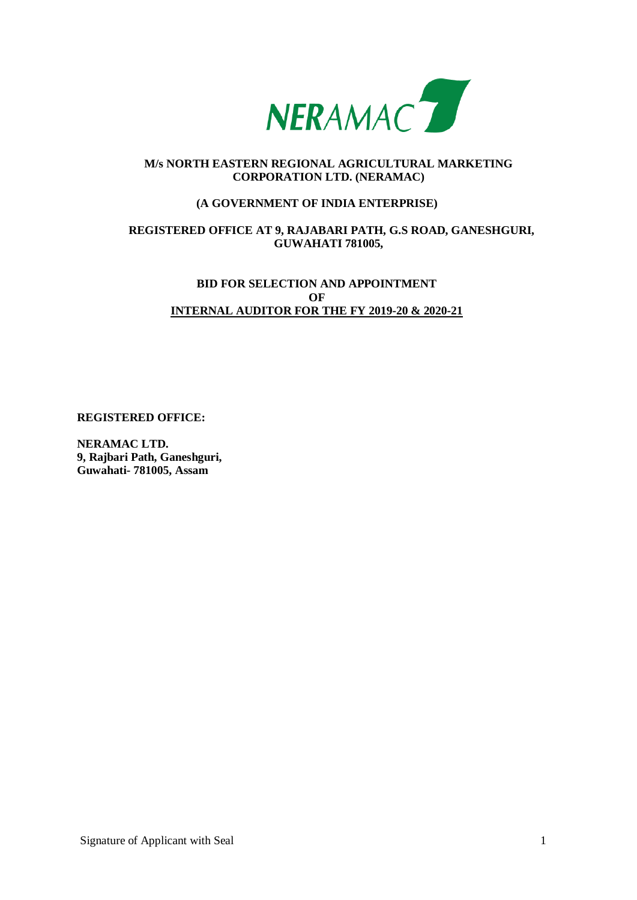

## **M/s NORTH EASTERN REGIONAL AGRICULTURAL MARKETING CORPORATION LTD. (NERAMAC)**

### **(A GOVERNMENT OF INDIA ENTERPRISE)**

## **REGISTERED OFFICE AT 9, RAJABARI PATH, G.S ROAD, GANESHGURI, GUWAHATI 781005,**

# **BID FOR SELECTION AND APPOINTMENT OF INTERNAL AUDITOR FOR THE FY 2019-20 & 2020-21**

**REGISTERED OFFICE:**

**NERAMAC LTD. 9, Rajbari Path, Ganeshguri, Guwahati- 781005, Assam**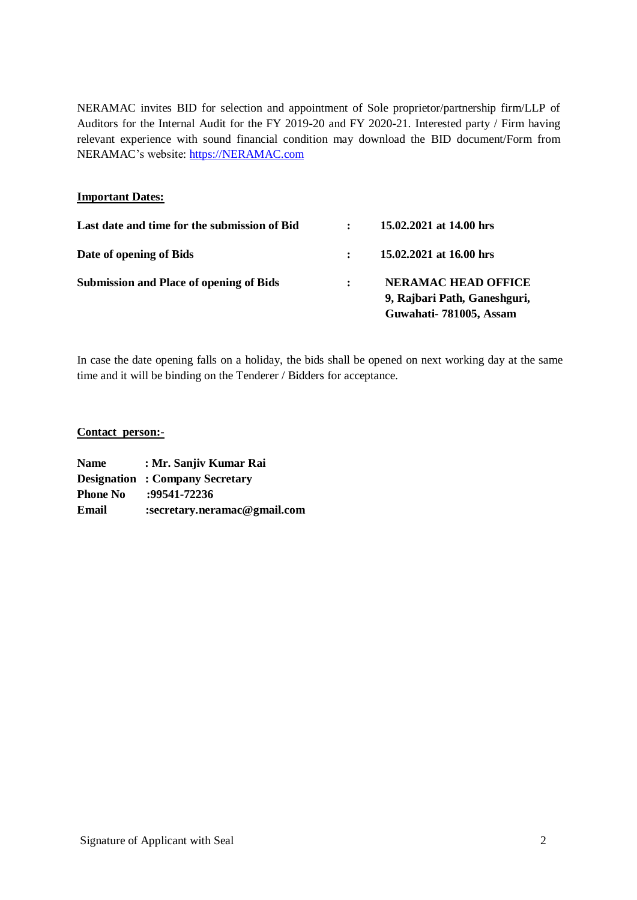NERAMAC invites BID for selection and appointment of Sole proprietor/partnership firm/LLP of Auditors for the Internal Audit for the FY 2019-20 and FY 2020-21. Interested party / Firm having relevant experience with sound financial condition may download the BID document/Form from NERAMAC's website: [https://NERAMAC.com](https://neramac.com/) 

### **Important Dates:**

| Last date and time for the submission of Bid   | 15.02.2021 at 14.00 hrs                                    |
|------------------------------------------------|------------------------------------------------------------|
| Date of opening of Bids                        | 15.02.2021 at 16.00 hrs                                    |
| <b>Submission and Place of opening of Bids</b> | <b>NERAMAC HEAD OFFICE</b><br>9, Rajbari Path, Ganeshguri, |
|                                                | Guwahati-781005, Assam                                     |

In case the date opening falls on a holiday, the bids shall be opened on next working day at the same time and it will be binding on the Tenderer / Bidders for acceptance.

#### **Contact person:-**

| <b>Name</b>     | : Mr. Sanjiv Kumar Rai                 |
|-----------------|----------------------------------------|
|                 | <b>Designation : Company Secretary</b> |
| <b>Phone No</b> | :99541-72236                           |
| Email           | :secretary.neramac@gmail.com           |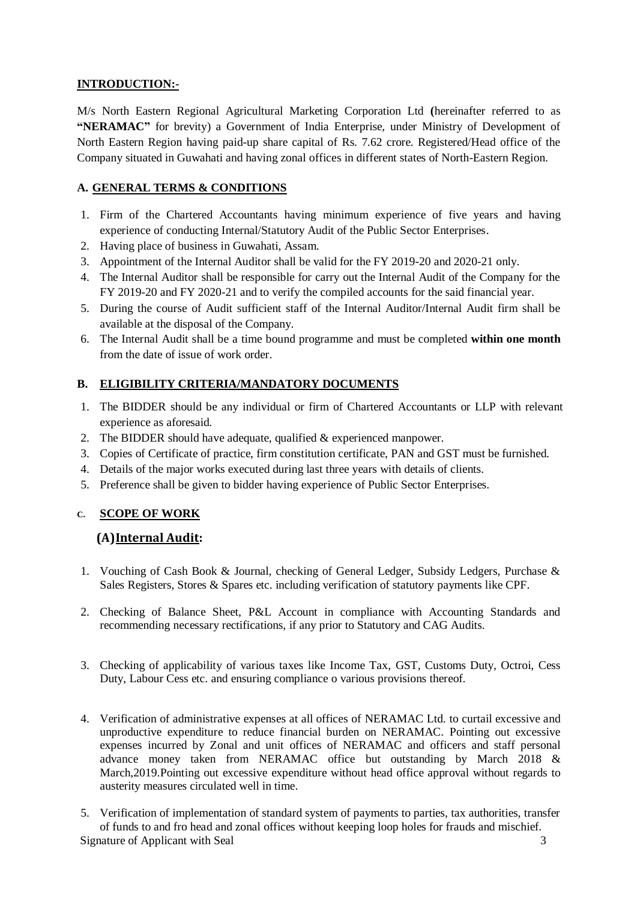# **INTRODUCTION:-**

M/s North Eastern Regional Agricultural Marketing Corporation Ltd **(**hereinafter referred to as **"NERAMAC"** for brevity) a Government of India Enterprise, under Ministry of Development of North Eastern Region having paid-up share capital of Rs. 7.62 crore. Registered/Head office of the Company situated in Guwahati and having zonal offices in different states of North-Eastern Region.

# **A. GENERAL TERMS & CONDITIONS**

- 1. Firm of the Chartered Accountants having minimum experience of five years and having experience of conducting Internal/Statutory Audit of the Public Sector Enterprises.
- 2. Having place of business in Guwahati, Assam.
- 3. Appointment of the Internal Auditor shall be valid for the FY 2019-20 and 2020-21 only.
- 4. The Internal Auditor shall be responsible for carry out the Internal Audit of the Company for the FY 2019-20 and FY 2020-21 and to verify the compiled accounts for the said financial year.
- 5. During the course of Audit sufficient staff of the Internal Auditor/Internal Audit firm shall be available at the disposal of the Company.
- 6. The Internal Audit shall be a time bound programme and must be completed **within one month** from the date of issue of work order.

# **B. ELIGIBILITY CRITERIA/MANDATORY DOCUMENTS**

- 1. The BIDDER should be any individual or firm of Chartered Accountants or LLP with relevant experience as aforesaid.
- 2. The BIDDER should have adequate, qualified  $&$  experienced manpower.
- 3. Copies of Certificate of practice, firm constitution certificate, PAN and GST must be furnished.
- 4. Details of the major works executed during last three years with details of clients.
- 5. Preference shall be given to bidder having experience of Public Sector Enterprises.

## **C. SCOPE OF WORK**

## **(A)Internal Audit:**

- 1. Vouching of Cash Book & Journal, checking of General Ledger, Subsidy Ledgers, Purchase & Sales Registers, Stores & Spares etc. including verification of statutory payments like CPF.
- 2. Checking of Balance Sheet, P&L Account in compliance with Accounting Standards and recommending necessary rectifications, if any prior to Statutory and CAG Audits.
- 3. Checking of applicability of various taxes like Income Tax, GST, Customs Duty, Octroi, Cess Duty, Labour Cess etc. and ensuring compliance o various provisions thereof.
- 4. Verification of administrative expenses at all offices of NERAMAC Ltd. to curtail excessive and unproductive expenditure to reduce financial burden on NERAMAC. Pointing out excessive expenses incurred by Zonal and unit offices of NERAMAC and officers and staff personal advance money taken from NERAMAC office but outstanding by March 2018 & March,2019.Pointing out excessive expenditure without head office approval without regards to austerity measures circulated well in time.

Signature of Applicant with Seal 3 3 5. Verification of implementation of standard system of payments to parties, tax authorities, transfer of funds to and fro head and zonal offices without keeping loop holes for frauds and mischief.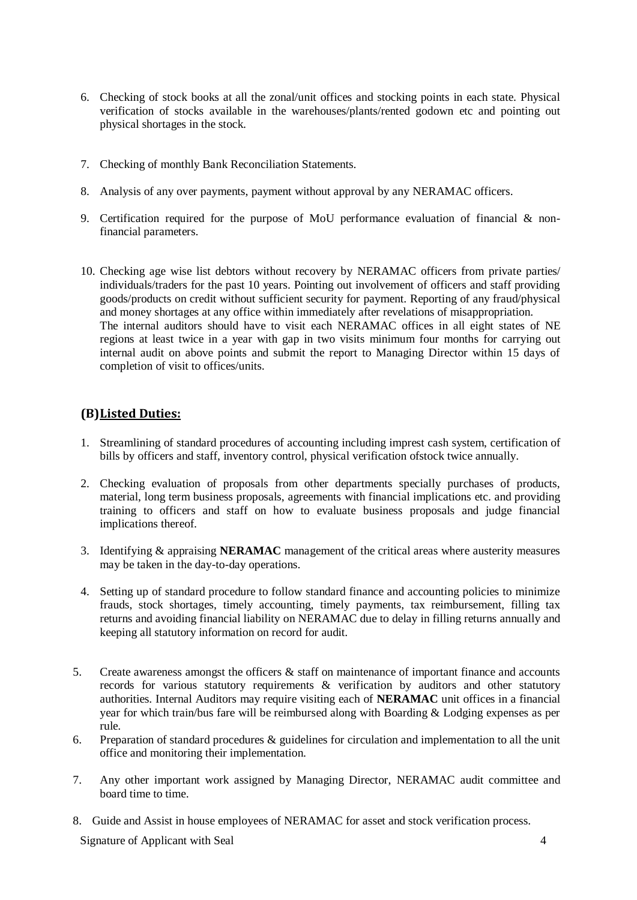- 6. Checking of stock books at all the zonal/unit offices and stocking points in each state. Physical verification of stocks available in the warehouses/plants/rented godown etc and pointing out physical shortages in the stock.
- 7. Checking of monthly Bank Reconciliation Statements.
- 8. Analysis of any over payments, payment without approval by any NERAMAC officers.
- 9. Certification required for the purpose of MoU performance evaluation of financial & nonfinancial parameters.
- 10. Checking age wise list debtors without recovery by NERAMAC officers from private parties/ individuals/traders for the past 10 years. Pointing out involvement of officers and staff providing goods/products on credit without sufficient security for payment. Reporting of any fraud/physical and money shortages at any office within immediately after revelations of misappropriation. The internal auditors should have to visit each NERAMAC offices in all eight states of NE regions at least twice in a year with gap in two visits minimum four months for carrying out internal audit on above points and submit the report to Managing Director within 15 days of completion of visit to offices/units.

# **(B)Listed Duties:**

- 1. Streamlining of standard procedures of accounting including imprest cash system, certification of bills by officers and staff, inventory control, physical verification ofstock twice annually.
- 2. Checking evaluation of proposals from other departments specially purchases of products, material, long term business proposals, agreements with financial implications etc. and providing training to officers and staff on how to evaluate business proposals and judge financial implications thereof.
- 3. Identifying & appraising **NERAMAC** management of the critical areas where austerity measures may be taken in the day-to-day operations.
- 4. Setting up of standard procedure to follow standard finance and accounting policies to minimize frauds, stock shortages, timely accounting, timely payments, tax reimbursement, filling tax returns and avoiding financial liability on NERAMAC due to delay in filling returns annually and keeping all statutory information on record for audit.
- 5. Create awareness amongst the officers & staff on maintenance of important finance and accounts records for various statutory requirements & verification by auditors and other statutory authorities. Internal Auditors may require visiting each of **NERAMAC** unit offices in a financial year for which train/bus fare will be reimbursed along with Boarding & Lodging expenses as per rule.
- 6. Preparation of standard procedures & guidelines for circulation and implementation to all the unit office and monitoring their implementation.
- 7. Any other important work assigned by Managing Director, NERAMAC audit committee and board time to time.
- 8. Guide and Assist in house employees of NERAMAC for asset and stock verification process.

Signature of Applicant with Seal 4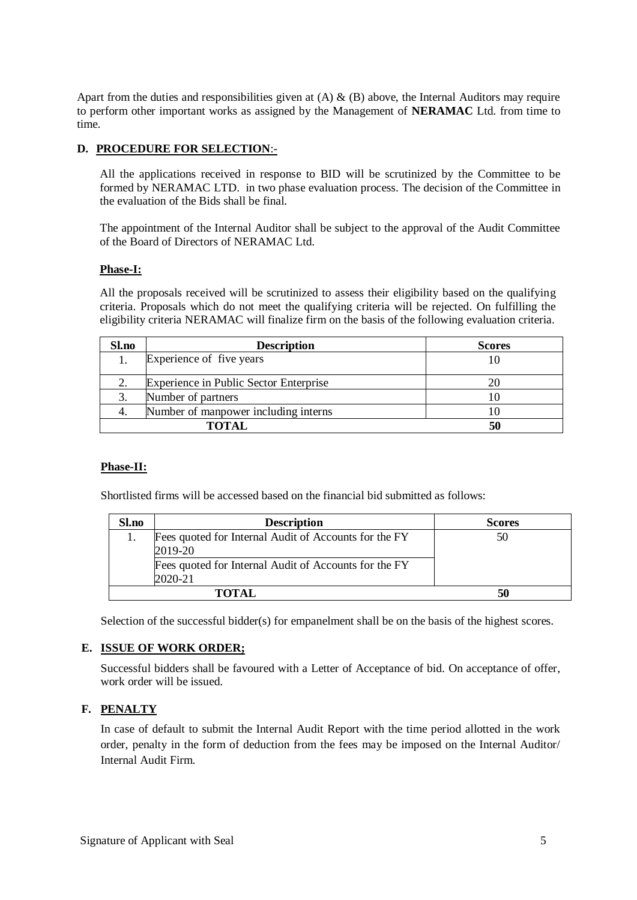Apart from the duties and responsibilities given at  $(A) \& (B)$  above, the Internal Auditors may require to perform other important works as assigned by the Management of **NERAMAC** Ltd. from time to time.

### **D. PROCEDURE FOR SELECTION**:-

All the applications received in response to BID will be scrutinized by the Committee to be formed by NERAMAC LTD. in two phase evaluation process. The decision of the Committee in the evaluation of the Bids shall be final.

The appointment of the Internal Auditor shall be subject to the approval of the Audit Committee of the Board of Directors of NERAMAC Ltd.

#### **Phase-I:**

All the proposals received will be scrutinized to assess their eligibility based on the qualifying criteria. Proposals which do not meet the qualifying criteria will be rejected. On fulfilling the eligibility criteria NERAMAC will finalize firm on the basis of the following evaluation criteria.

| Sl.no | <b>Description</b>                     | <b>Scores</b> |
|-------|----------------------------------------|---------------|
|       | Experience of five years               |               |
|       | Experience in Public Sector Enterprise |               |
|       | Number of partners                     |               |
|       | Number of manpower including interns   |               |
|       | <b>TOTAL</b>                           | 50            |

## **Phase-II:**

Shortlisted firms will be accessed based on the financial bid submitted as follows:

| Sl.no | <b>Description</b>                                    | <b>Scores</b> |
|-------|-------------------------------------------------------|---------------|
|       | Fees quoted for Internal Audit of Accounts for the FY | 50            |
|       | 2019-20                                               |               |
|       | Fees quoted for Internal Audit of Accounts for the FY |               |
|       | 2020-21                                               |               |
|       | <b>TOTAL</b>                                          | 50            |

Selection of the successful bidder(s) for empanelment shall be on the basis of the highest scores.

#### **E. ISSUE OF WORK ORDER;**

Successful bidders shall be favoured with a Letter of Acceptance of bid. On acceptance of offer, work order will be issued.

## **F. PENALTY**

In case of default to submit the Internal Audit Report with the time period allotted in the work order, penalty in the form of deduction from the fees may be imposed on the Internal Auditor/ Internal Audit Firm.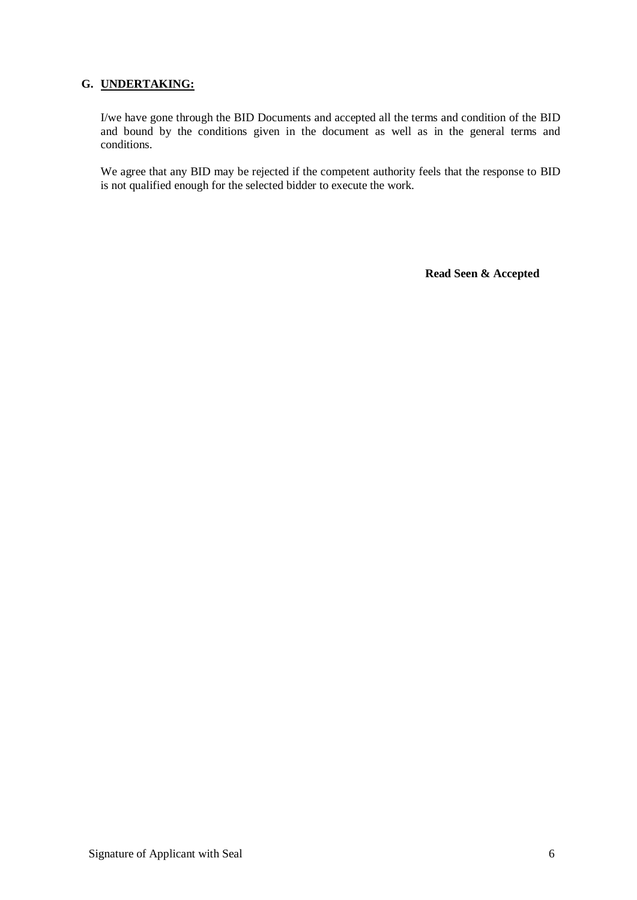## **G. UNDERTAKING:**

I/we have gone through the BID Documents and accepted all the terms and condition of the BID and bound by the conditions given in the document as well as in the general terms and conditions.

We agree that any BID may be rejected if the competent authority feels that the response to BID is not qualified enough for the selected bidder to execute the work.

**Read Seen & Accepted**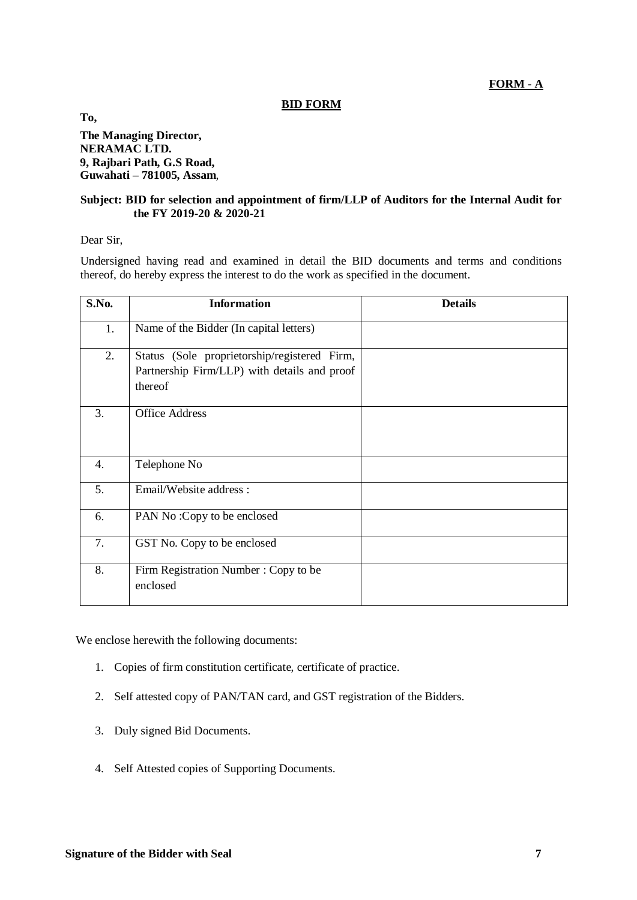**FORM - A**

### **BID FORM**

**To, The Managing Director, NERAMAC LTD. 9, Rajbari Path, G.S Road, Guwahati – 781005, Assam**,

### **Subject: BID for selection and appointment of firm/LLP of Auditors for the Internal Audit for the FY 2019-20 & 2020-21**

Dear Sir,

Undersigned having read and examined in detail the BID documents and terms and conditions thereof, do hereby express the interest to do the work as specified in the document.

| S.No. | <b>Information</b>                                      | <b>Details</b> |
|-------|---------------------------------------------------------|----------------|
| 1.    | Name of the Bidder (In capital letters)                 |                |
| 2.    | Status (Sole proprietorship/registered Firm,            |                |
|       | Partnership Firm/LLP) with details and proof<br>thereof |                |
| 3.    | <b>Office Address</b>                                   |                |
| 4.    | Telephone No                                            |                |
| 5.    | Email/Website address:                                  |                |
| 6.    | PAN No: Copy to be enclosed                             |                |
| 7.    | GST No. Copy to be enclosed                             |                |
| 8.    | Firm Registration Number: Copy to be<br>enclosed        |                |

We enclose herewith the following documents:

- 1. Copies of firm constitution certificate, certificate of practice.
- 2. Self attested copy of PAN/TAN card, and GST registration of the Bidders.
- 3. Duly signed Bid Documents.
- 4. Self Attested copies of Supporting Documents.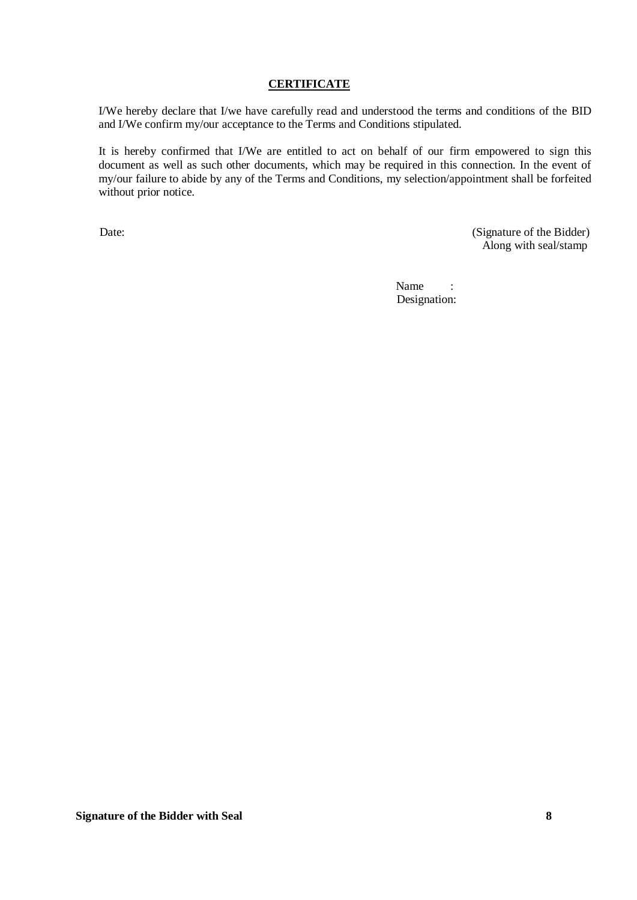### **CERTIFICATE**

I/We hereby declare that I/we have carefully read and understood the terms and conditions of the BID and I/We confirm my/our acceptance to the Terms and Conditions stipulated.

It is hereby confirmed that I/We are entitled to act on behalf of our firm empowered to sign this document as well as such other documents, which may be required in this connection. In the event of my/our failure to abide by any of the Terms and Conditions, my selection/appointment shall be forfeited without prior notice.

Date: (Signature of the Bidder) Along with seal/stamp

> Name : Designation: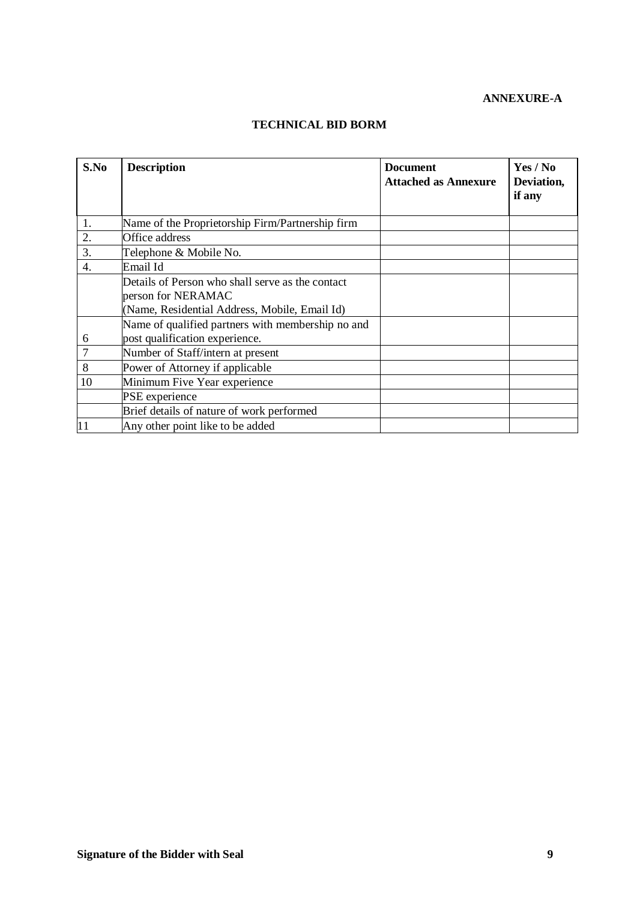# **ANNEXURE-A**

## **TECHNICAL BID BORM**

| S.No | <b>Description</b>                                                     | <b>Document</b>             | Yes / No             |
|------|------------------------------------------------------------------------|-----------------------------|----------------------|
|      |                                                                        | <b>Attached as Annexure</b> | Deviation,<br>if any |
| 1.   | Name of the Proprietorship Firm/Partnership firm                       |                             |                      |
| 2.   | Office address                                                         |                             |                      |
| 3.   | Telephone & Mobile No.                                                 |                             |                      |
| 4.   | Email Id                                                               |                             |                      |
|      | Details of Person who shall serve as the contact<br>person for NERAMAC |                             |                      |
|      | (Name, Residential Address, Mobile, Email Id)                          |                             |                      |
|      | Name of qualified partners with membership no and                      |                             |                      |
| 6    | post qualification experience.                                         |                             |                      |
| 7    | Number of Staff/intern at present                                      |                             |                      |
| 8    | Power of Attorney if applicable                                        |                             |                      |
| 10   | Minimum Five Year experience                                           |                             |                      |
|      | PSE experience                                                         |                             |                      |
|      | Brief details of nature of work performed                              |                             |                      |
| 11   | Any other point like to be added                                       |                             |                      |